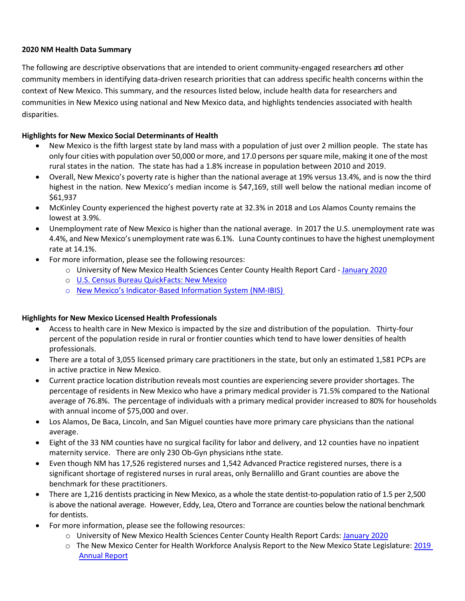# **2020 NM Health Data Summary**

The following are descriptive observations that are intended to orient community-engaged researchers ad other community members in identifying data-driven research priorities that can address specific health concerns within the context of New Mexico. This summary, and the resources listed below, include health data for researchers and communities in New Mexico using national and New Mexico data, and highlights tendencies associated with health disparities.

## **Highlights for New Mexico Social Determinants of Health**

- New Mexico is the fifth largest state by land mass with a population of just over 2 million people. The state has only four cities with population over 50,000 or more, and 17.0 persons persquare mile, making it one of the most rural states in the nation. The state has had a 1.8% increase in population between 2010 and 2019.
- Overall, New Mexico's poverty rate is higher than the national average at 19% versus 13.4%, and is now the third highest in the nation. New Mexico's median income is \$47,169, still well below the national median income of \$61,937
- McKinley County experienced the highest poverty rate at 32.3% in 2018 and Los Alamos County remains the lowest at 3.9%.
- Unemployment rate of New Mexico is higher than the national average. In 2017 the U.S. unemployment rate was 4.4%, and New Mexico's unemployment rate was 6.1%. Luna County continues to have the highest unemployment rate at 14.1%.
- For more information, please see the following resources:
	- o University of New Mexico Health Sciences Center County Health Report Card [January](http://hsc.unm.edu/community/assets/doc/county-health-report-cards.pdf) 2020
	- o [U.S. Census Bureau QuickFacts: New Mexico](https://www.census.gov/quickfacts/NM)
	- o [New Mexico's Indicator-Based Information System \(NM-IBIS\)](https://ibis.health.state.nm.us/indicator/complete_profile/NMPopDemoPov.html)

# **Highlights for New Mexico Licensed Health Professionals**

- Access to health care in New Mexico is impacted by the size and distribution of the population. Thirty-four percent of the population reside in rural or frontier counties which tend to have lower densities of health professionals.
- There are a total of 3,055 licensed primary care practitioners in the state, but only an estimated 1,581 PCPs are in active practice in New Mexico.
- Current practice location distribution reveals most counties are experiencing severe provider shortages. The percentage of residents in New Mexico who have a primary medical provider is 71.5% compared to the National average of 76.8%. The percentage of individuals with a primary medical provider increased to 80% for households with annual income of \$75,000 and over.
- Los Alamos, De Baca, Lincoln, and San Miguel counties have more primary care physicians than the national average.
- Eight of the 33 NM counties have no surgical facility for labor and delivery, and 12 counties have no inpatient maternity service. There are only 230 Ob-Gyn physicians inthe state.
- Even though NM has 17,526 registered nurses and 1,542 Advanced Practice registered nurses, there is a significant shortage of registered nurses in rural areas, only Bernalillo and Grant counties are above the benchmark for these practitioners.
- There are 1,216 dentists practicing in New Mexico, as a whole the state dentist-to-population ratio of 1.5 per 2,500 is above the national average. However, Eddy, Lea, Otero and Torrance are counties below the national benchmark for dentists.
- For more information, please see the following resources:
	- o University of New Mexico Health Sciences Center County Health Report Cards: [January 2020](https://hsc.unm.edu/ctsc/services/cerc/_docs/county-health-report-cards-2020.pdf)
	- o The New Mexico Center for Health Workforce Analysis Report to the New Mexico State Legislature: [2019](https://www.nmhanet.org/files/NMHCWF_2019Report_FINAL.pdf)  [Annual Report](https://www.nmhanet.org/files/NMHCWF_2019Report_FINAL.pdf)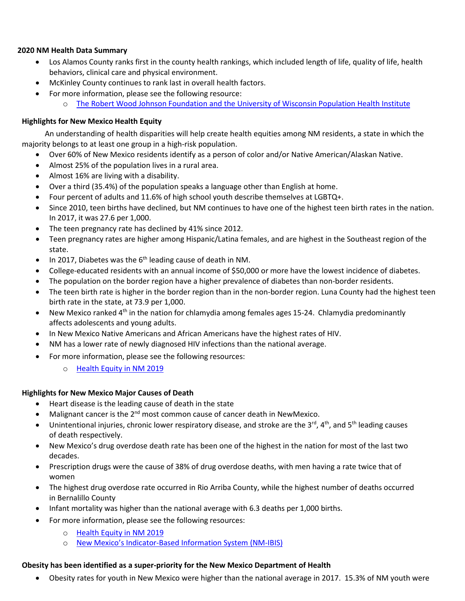## **2020 NM Health Data Summary**

- Los Alamos County ranks first in the county health rankings, which included length of life, quality of life, health behaviors, clinical care and physical environment.
- McKinley County continues to rank last in overall health factors.
- For more information, please see the following resource:
	- o [The Robert Wood Johnson Foundation and the University of Wisconsin Population Health Institute](https://www.countyhealthrankings.org/)

## **Highlights for New Mexico Health Equity**

An understanding of health disparities will help create health equities among NM residents, a state in which the majority belongs to at least one group in a high-risk population.

- Over 60% of New Mexico residents identify as a person of color and/or Native American/Alaskan Native.
- Almost 25% of the population lives in a rural area.
- Almost 16% are living with a disability.
- Over a third (35.4%) of the population speaks a language other than English at home.
- Four percent of adults and 11.6% of high school youth describe themselves at LGBTQ+.
- Since 2010, teen births have declined, but NM continues to have one of the highest teen birth rates in the nation. In 2017, it was 27.6 per 1,000.
- The teen pregnancy rate has declined by 41% since 2012.
- Teen pregnancy rates are higher among Hispanic/Latina females, and are highest in the Southeast region of the state.
- $\bullet$  In 2017, Diabetes was the 6<sup>th</sup> leading cause of death in NM.
- College-educated residents with an annual income of \$50,000 or more have the lowest incidence of diabetes.
- The population on the border region have a higher prevalence of diabetes than non-border residents.
- The teen birth rate is higher in the border region than in the non-border region. Luna County had the highest teen birth rate in the state, at 73.9 per 1,000.
- New Mexico ranked 4<sup>th</sup> in the nation for chlamydia among females ages 15-24. Chlamydia predominantly affects adolescents and young adults.
- In New Mexico Native Americans and African Americans have the highest rates of HIV.
- NM has a lower rate of newly diagnosed HIV infections than the national average.
- For more information, please see the following resources:
	- o [Health Equity in NM 2019](https://www.nmhealth.org/publication/view/report/2045/)

### **Highlights for New Mexico Major Causes of Death**

- Heart disease is the leading cause of death in the state
- Malignant cancer is the 2<sup>nd</sup> most common cause of cancer death in NewMexico.
- Unintentional injuries, chronic lower respiratory disease, and stroke are the 3<sup>rd</sup>, 4<sup>th</sup>, and 5<sup>th</sup> leading causes of death respectively.
- New Mexico's drug overdose death rate has been one of the highest in the nation for most of the last two decades.
- Prescription drugs were the cause of 38% of drug overdose deaths, with men having a rate twice that of women
- The highest drug overdose rate occurred in Rio Arriba County, while the highest number of deaths occurred in Bernalillo County
- Infant mortality was higher than the national average with 6.3 deaths per 1,000 births.
- For more information, please see the following resources:
	- o [Health Equity in NM 2019](https://www.nmhealth.org/publication/view/report/2045/)
	- o [New Mexico's Indicator-Based Information System \(NM-IBIS\)](https://ibis.health.state.nm.us/topic/healthoutcomes/LeadingCausesDeath.html)

### **Obesity has been identified as a super-priority for the New Mexico Department of Health**

• Obesity rates for youth in New Mexico were higher than the national average in 2017. 15.3% of NM youth were